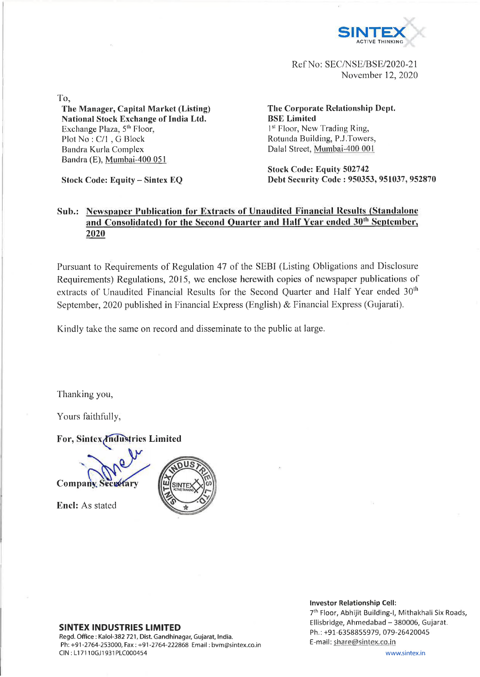

Ref No: SEC/NSE/BSE/2020-21 November 12, 2020

To,

## **The Manager, Capital Market (Listing) National Stock Exchange of India Ltd.** Exchange Plaza, 5<sup>th</sup> Floor, Plot No : C/l , G Block Bandra Kurla Complex Bandra (E), Mumbai-400 051

**Stock Code: Equity - Sintex EQ**

**The Corporate Relationship Dept. BSE Limited** 1<sup>st</sup> Floor, New Trading Ring, Rotunda Building, P.J.Towers, Dalai Street, Mumbai-400 001

**Stock Code: Equity 502742 Debt Security Code : 950353, 951037, 952870**

## **Sub.: Newspaper Publication for Extracts of Unaudited Financial Results (Standalone** and Consolidated) for the Second Quarter and Half Year ended 30<sup>th</sup> September, **2020**

Pursuant to Requirements of Regulation 47 of the SEBI (Listing Obligations and Disclosure Requirements) Regulations, 2015, we enclose herewith copies of newspaper publications of extracts of Unaudited Financial Results for the Second Quarter and Half Year ended 30<sup>th</sup> September, 2020 published in Financial Express (English) & Financial Express (Gujarati).

Kindly take the same on record and disseminate to the public at large.

Thanking you,

Yours faithfully,

For, Sintex *Industries Limited* 

**Company**, Secretary

**Enel:** As stated



## **SINTEX INDUSTRIES LIMITED**

Regd. Office: Kalol-382 721, Dist. Gandhinagar, Gujarat, India. Ph: +91-2764-253000, Fax: +91-2764-222868 Email: bvm@sintex.co.in CIN : LI 7110GJ1931PLC000454

## **Investor Relationship Cell:**

7th Floor, Abhijit Building-1, Mithakhali Six Roads, Ellisbridge, Ahmedabad - 380006, Gujarat. Ph.:+91-6358855979, 079-26420045 E-mail: share@sintex.co.in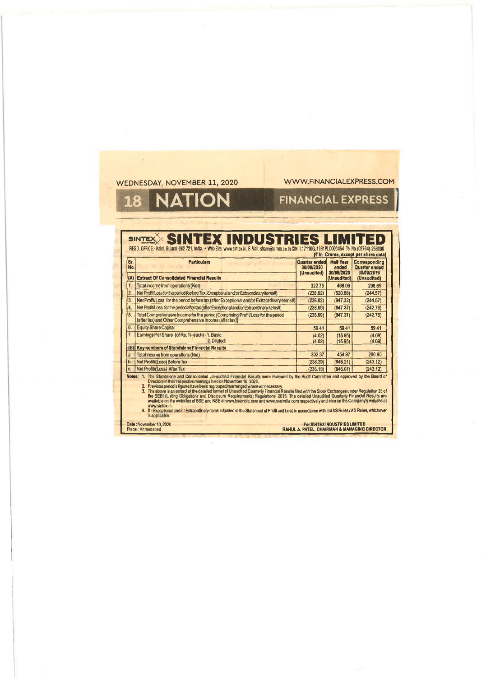|             |                                                                                     | SINTEX SINTEX INDUSTRIES LIMITED<br>REGD, OFFICE:- Kalol, Gularat-382 721, India. . Web Site: www.sintex.in, E-Mail: share@sintex.co.in CIN: L17110GJ1931PLC000454 Tel.No.(02764)-253000                                                                                                                                                                                                                                                                                                                                                                                                                                                                                                                                                                             |                                            |                                         |                                                                                      |
|-------------|-------------------------------------------------------------------------------------|----------------------------------------------------------------------------------------------------------------------------------------------------------------------------------------------------------------------------------------------------------------------------------------------------------------------------------------------------------------------------------------------------------------------------------------------------------------------------------------------------------------------------------------------------------------------------------------------------------------------------------------------------------------------------------------------------------------------------------------------------------------------|--------------------------------------------|-----------------------------------------|--------------------------------------------------------------------------------------|
| lSr.<br>No. | <b>Particulars</b>                                                                  |                                                                                                                                                                                                                                                                                                                                                                                                                                                                                                                                                                                                                                                                                                                                                                      | Quarter ended<br>30/09/2020<br>(Unaudited) | <b>Half Year</b><br>ended<br>30/09/2020 | (₹ In Crores, excapt per share data)<br>Corresponding<br>Quarter ended<br>30/09/2019 |
| (A)         | <b>Extract Of Consolidated Financial Results</b>                                    |                                                                                                                                                                                                                                                                                                                                                                                                                                                                                                                                                                                                                                                                                                                                                                      |                                            | (Unaudited)                             | (Unaudited)                                                                          |
| 1.          | Total income from operations (Nel)                                                  |                                                                                                                                                                                                                                                                                                                                                                                                                                                                                                                                                                                                                                                                                                                                                                      | 322.75                                     | 468.06                                  | 298.65                                                                               |
| 2.          |                                                                                     | Net Profit/Loss for the period (before Tax, Exceptional and/or Extraordinary items#)                                                                                                                                                                                                                                                                                                                                                                                                                                                                                                                                                                                                                                                                                 | (238.62)                                   | (520.68)                                | (244.57)                                                                             |
| 3.          |                                                                                     | Net Profit/Loss for the period before tax (after Exceptional and/or Extraordinary items#)                                                                                                                                                                                                                                                                                                                                                                                                                                                                                                                                                                                                                                                                            | (238.62)                                   | (947.32)                                | (244.57)                                                                             |
| 4           |                                                                                     | Net Profit/Loss for the period after tax (after Exceptional and/or Extraordinary items#)                                                                                                                                                                                                                                                                                                                                                                                                                                                                                                                                                                                                                                                                             | (238.69)                                   | (947.37)                                | (242.76)                                                                             |
| 5.          | (after tax) and Other Comprehensive Income (after tax))                             | Total Comprehensive Income for the period (Comprising Profit/Loss for the period                                                                                                                                                                                                                                                                                                                                                                                                                                                                                                                                                                                                                                                                                     | (238.69)                                   | (947.37)                                | (242.76)                                                                             |
| ₿.          | <b>Equity Share Capital</b>                                                         |                                                                                                                                                                                                                                                                                                                                                                                                                                                                                                                                                                                                                                                                                                                                                                      | 59.41                                      | 59.41                                   | 59.41                                                                                |
| 7.          | Earnings Per Share (of Re. 1/-each) - 1. Basic:                                     | 2. Diluted:                                                                                                                                                                                                                                                                                                                                                                                                                                                                                                                                                                                                                                                                                                                                                          | (4.02)<br>(4.02)                           | (15.95)<br>(15.95)                      | (4.09)<br>(4.09)                                                                     |
| (B)         | Key numbers of Standalone Financial Results                                         |                                                                                                                                                                                                                                                                                                                                                                                                                                                                                                                                                                                                                                                                                                                                                                      |                                            |                                         |                                                                                      |
| a.          | Total Income from operations (Net)                                                  |                                                                                                                                                                                                                                                                                                                                                                                                                                                                                                                                                                                                                                                                                                                                                                      | 302.37                                     | 454.97                                  | 286.90                                                                               |
| b.          | Net Profit/(Loss) Before Tax                                                        |                                                                                                                                                                                                                                                                                                                                                                                                                                                                                                                                                                                                                                                                                                                                                                      | (238.29)                                   | (946.21)                                | (243.12)                                                                             |
| c.          | Net Profit/(Loss) After Tax                                                         |                                                                                                                                                                                                                                                                                                                                                                                                                                                                                                                                                                                                                                                                                                                                                                      | (238.18)                                   | (946.07)                                | (243.12)                                                                             |
|             | Directors in their respective meetings held on November 10, 2020.<br>www.sintex.in. | Notes: 1. The Standalone and Consolidated Un-audited Financial Results were reviewed by the Audit Committee and approved by the Board of<br>2. Previous period's figures have been regrouped/rearranged wherever necessary.<br>3. The above is an extract of the datailed format of Unaudited Quarterly Financial Results filed with the Stock Exchanges under Regulation 33 of<br>the SEBI (Usting Obligations and Disclosure Requirements) Requiations, 2015. The detailed Unaudited Quarterly Financial Results are available on the websites of SSE and NSE at www.bseindia.com as welcomed and the Company's<br>4. #- Exceptional and/or Extraordinary items adjusted in the Statement of Profit and Loss in accordance with ind AS Rules / AS Rules, whichever |                                            |                                         |                                                                                      |

 $\lambda$ 

 $\mathcal{O}$